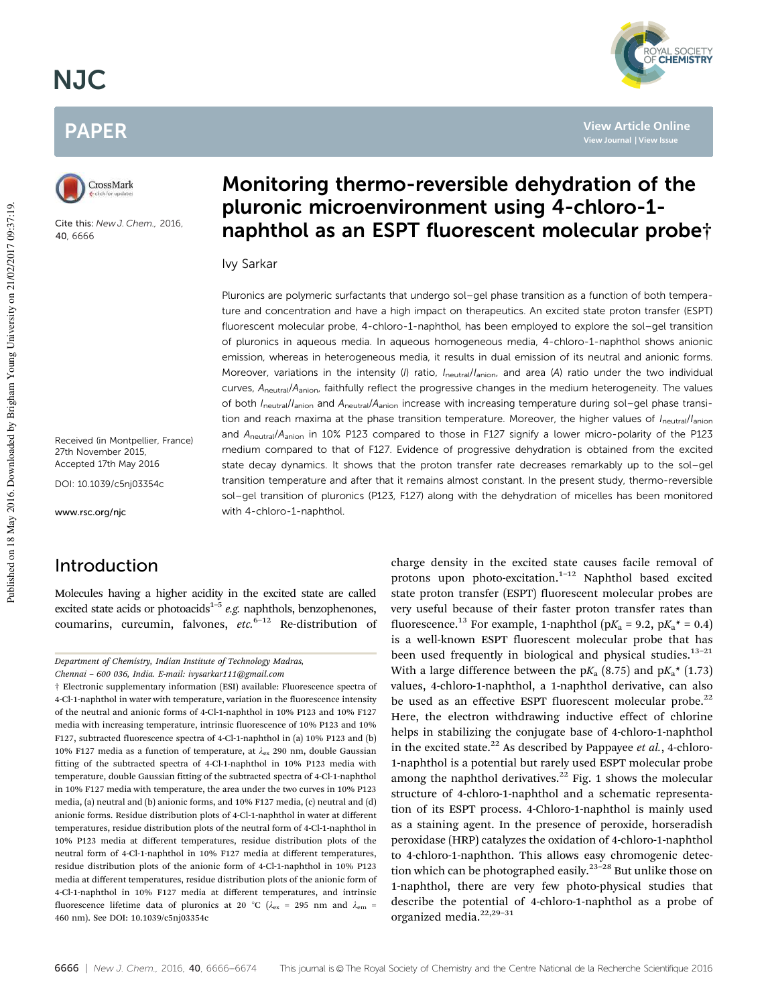# NJC

# PAPER



Cite this: *New J. Chem.,* 2016, 40, 6666

Received (in Montpellier, France) 27th November 2015, Accepted 17th May 2016

DOI: 10.1039/c5nj03354c

www.rsc.org/njc

# Introduction

Molecules having a higher acidity in the excited state are called excited state acids or photoacids<sup>1-5</sup> e.g. naphthols, benzophenones, coumarins, curcumin, falvones,  $etc.<sup>6-12</sup>$  Re-distribution of

# Monitoring thermo-reversible dehydration of the pluronic microenvironment using 4-chloro-1 naphthol as an ESPT fluorescent molecular probe†

#### Ivy Sarkar

Pluronics are polymeric surfactants that undergo sol–gel phase transition as a function of both temperature and concentration and have a high impact on therapeutics. An excited state proton transfer (ESPT) fluorescent molecular probe, 4-chloro-1-naphthol, has been employed to explore the sol–gel transition of pluronics in aqueous media. In aqueous homogeneous media, 4-chloro-1-naphthol shows anionic emission, whereas in heterogeneous media, it results in dual emission of its neutral and anionic forms. Moreover, variations in the intensity (I) ratio,  $I_{\text{neutral}}/I_{\text{anion}}$  and area (A) ratio under the two individual curves, A<sub>neutral</sub>/A<sub>anion</sub>, faithfully reflect the progressive changes in the medium heterogeneity. The values of both Ineutral/Ianion and Aneutral/Aanion increase with increasing temperature during sol–gel phase transition and reach maxima at the phase transition temperature. Moreover, the higher values of Ineutral/Ianion and A<sub>neutral</sub>/A<sub>anion</sub> in 10% P123 compared to those in F127 signify a lower micro-polarity of the P123 medium compared to that of F127. Evidence of progressive dehydration is obtained from the excited state decay dynamics. It shows that the proton transfer rate decreases remarkably up to the sol–gel transition temperature and after that it remains almost constant. In the present study, thermo-reversible sol–gel transition of pluronics (P123, F127) along with the dehydration of micelles has been monitored with 4-chloro-1-naphthol.

> charge density in the excited state causes facile removal of protons upon photo-excitation.<sup>1-12</sup> Naphthol based excited state proton transfer (ESPT) fluorescent molecular probes are very useful because of their faster proton transfer rates than fluorescence.<sup>13</sup> For example, 1-naphthol ( $pK_a$  = 9.2,  $pK_a$ <sup>\*</sup> = 0.4) is a well-known ESPT fluorescent molecular probe that has been used frequently in biological and physical studies. $13-21$ With a large difference between the  $pK_a$  (8.75) and  $pK_a^*$  (1.73) values, 4-chloro-1-naphthol, a 1-naphthol derivative, can also be used as an effective ESPT fluorescent molecular probe.<sup>22</sup> Here, the electron withdrawing inductive effect of chlorine helps in stabilizing the conjugate base of 4-chloro-1-naphthol in the excited state.<sup>22</sup> As described by Pappayee et al., 4-chloro-1-naphthol is a potential but rarely used ESPT molecular probe among the naphthol derivatives. $22$  Fig. 1 shows the molecular structure of 4-chloro-1-naphthol and a schematic representation of its ESPT process. 4-Chloro-1-naphthol is mainly used as a staining agent. In the presence of peroxide, horseradish peroxidase (HRP) catalyzes the oxidation of 4-chloro-1-naphthol to 4-chloro-1-naphthon. This allows easy chromogenic detection which can be photographed easily.<sup>23–28</sup> But unlike those on 1-naphthol, there are very few photo-physical studies that describe the potential of 4-chloro-1-naphthol as a probe of organized media.<sup>22,29-31</sup>



**View Article Online**

Department of Chemistry, Indian Institute of Technology Madras,

Chennai – 600 036, India. E-mail: ivysarkar111@gmail.com

<sup>†</sup> Electronic supplementary information (ESI) available: Fluorescence spectra of 4-Cl-1-naphthol in water with temperature, variation in the fluorescence intensity of the neutral and anionic forms of 4-Cl-1-naphthol in 10% P123 and 10% F127 media with increasing temperature, intrinsic fluorescence of 10% P123 and 10% F127, subtracted fluorescence spectra of 4-Cl-1-naphthol in (a) 10% P123 and (b) 10% F127 media as a function of temperature, at  $\lambda_{\rm ex}$  290 nm, double Gaussian fitting of the subtracted spectra of 4-Cl-1-naphthol in 10% P123 media with temperature, double Gaussian fitting of the subtracted spectra of 4-Cl-1-naphthol in 10% F127 media with temperature, the area under the two curves in 10% P123 media, (a) neutral and (b) anionic forms, and 10% F127 media, (c) neutral and (d) anionic forms. Residue distribution plots of 4-Cl-1-naphthol in water at different temperatures, residue distribution plots of the neutral form of 4-Cl-1-naphthol in 10% P123 media at different temperatures, residue distribution plots of the neutral form of 4-Cl-1-naphthol in 10% F127 media at different temperatures, residue distribution plots of the anionic form of 4-Cl-1-naphthol in 10% P123 media at different temperatures, residue distribution plots of the anionic form of 4-Cl-1-naphthol in 10% F127 media at different temperatures, and intrinsic fluorescence lifetime data of pluronics at 20 °C ( $\lambda_{\rm ex}$  = 295 nm and  $\lambda_{\rm em}$  = 460 nm). See DOI: 10.1039/c5nj03354c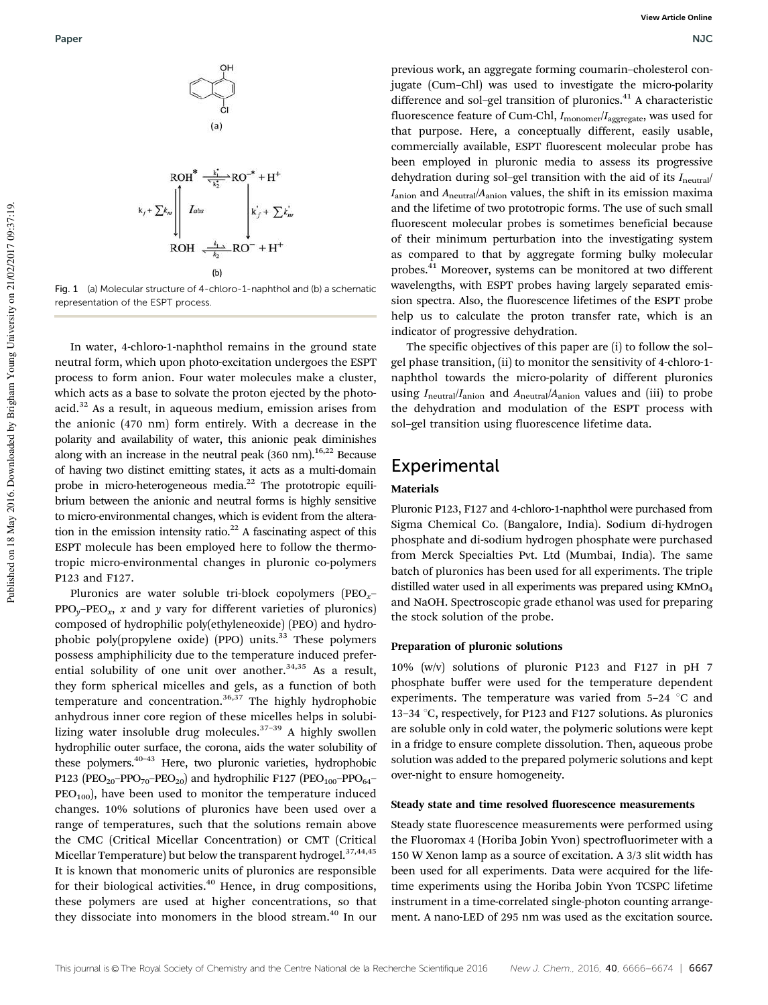

Fig. 1 (a) Molecular structure of 4-chloro-1-naphthol and (b) a schematic representation of the ESPT process.

In water, 4-chloro-1-naphthol remains in the ground state neutral form, which upon photo-excitation undergoes the ESPT process to form anion. Four water molecules make a cluster, which acts as a base to solvate the proton ejected by the photoacid.<sup>32</sup> As a result, in aqueous medium, emission arises from the anionic (470 nm) form entirely. With a decrease in the polarity and availability of water, this anionic peak diminishes along with an increase in the neutral peak  $(360 \text{ nm})$ <sup>16,22</sup> Because of having two distinct emitting states, it acts as a multi-domain probe in micro-heterogeneous media.<sup>22</sup> The prototropic equilibrium between the anionic and neutral forms is highly sensitive to micro-environmental changes, which is evident from the alteration in the emission intensity ratio.<sup>22</sup> A fascinating aspect of this ESPT molecule has been employed here to follow the thermotropic micro-environmental changes in pluronic co-polymers P123 and F127.

Pluronics are water soluble tri-block copolymers (PEO<sub>x</sub>–  $\text{PPO}_y\text{-PEO}_x$ , x and y vary for different varieties of pluronics) composed of hydrophilic poly(ethyleneoxide) (PEO) and hydrophobic poly(propylene oxide) (PPO) units.<sup>33</sup> These polymers possess amphiphilicity due to the temperature induced preferential solubility of one unit over another.<sup>34,35</sup> As a result, they form spherical micelles and gels, as a function of both temperature and concentration.<sup>36,37</sup> The highly hydrophobic anhydrous inner core region of these micelles helps in solubilizing water insoluble drug molecules.37–39 A highly swollen hydrophilic outer surface, the corona, aids the water solubility of these polymers.<sup>40-43</sup> Here, two pluronic varieties, hydrophobic P123 (PEO<sub>20</sub>–PPO<sub>70</sub>–PEO<sub>20</sub>) and hydrophilic F127 (PEO<sub>100</sub>–PPO<sub>64</sub>–  $PEO<sub>100</sub>$ ), have been used to monitor the temperature induced changes. 10% solutions of pluronics have been used over a range of temperatures, such that the solutions remain above the CMC (Critical Micellar Concentration) or CMT (Critical Micellar Temperature) but below the transparent hydrogel. $37,44,45$ It is known that monomeric units of pluronics are responsible for their biological activities. $40$  Hence, in drug compositions, these polymers are used at higher concentrations, so that they dissociate into monomers in the blood stream.<sup>40</sup> In our

previous work, an aggregate forming coumarin–cholesterol conjugate (Cum–Chl) was used to investigate the micro-polarity difference and sol-gel transition of pluronics.<sup>41</sup> A characteristic fluorescence feature of Cum-Chl,  $I_{\text{monomer}}/I_{\text{aggregate}}$ , was used for that purpose. Here, a conceptually different, easily usable, commercially available, ESPT fluorescent molecular probe has been employed in pluronic media to assess its progressive dehydration during sol–gel transition with the aid of its  $I_{\text{neutral}}/I$  $I_{\text{anion}}$  and  $A_{\text{neutral}}/A_{\text{anion}}$  values, the shift in its emission maxima and the lifetime of two prototropic forms. The use of such small fluorescent molecular probes is sometimes beneficial because of their minimum perturbation into the investigating system as compared to that by aggregate forming bulky molecular probes.<sup>41</sup> Moreover, systems can be monitored at two different wavelengths, with ESPT probes having largely separated emission spectra. Also, the fluorescence lifetimes of the ESPT probe help us to calculate the proton transfer rate, which is an indicator of progressive dehydration.

The specific objectives of this paper are (i) to follow the sol– gel phase transition, (ii) to monitor the sensitivity of 4-chloro-1 naphthol towards the micro-polarity of different pluronics using  $I_{neutral}/I_{\text{anion}}$  and  $A_{neutral}/A_{\text{anion}}$  values and (iii) to probe the dehydration and modulation of the ESPT process with sol–gel transition using fluorescence lifetime data.

### Experimental

#### Materials

Pluronic P123, F127 and 4-chloro-1-naphthol were purchased from Sigma Chemical Co. (Bangalore, India). Sodium di-hydrogen phosphate and di-sodium hydrogen phosphate were purchased from Merck Specialties Pvt. Ltd (Mumbai, India). The same batch of pluronics has been used for all experiments. The triple distilled water used in all experiments was prepared using  $KMnO<sub>4</sub>$ and NaOH. Spectroscopic grade ethanol was used for preparing the stock solution of the probe.

#### Preparation of pluronic solutions

10% (w/v) solutions of pluronic P123 and F127 in pH 7 phosphate buffer were used for the temperature dependent experiments. The temperature was varied from  $5-24$  °C and 13–34  $\degree$ C, respectively, for P123 and F127 solutions. As pluronics are soluble only in cold water, the polymeric solutions were kept in a fridge to ensure complete dissolution. Then, aqueous probe solution was added to the prepared polymeric solutions and kept over-night to ensure homogeneity.

#### Steady state and time resolved fluorescence measurements

Steady state fluorescence measurements were performed using the Fluoromax 4 (Horiba Jobin Yvon) spectrofluorimeter with a 150 W Xenon lamp as a source of excitation. A 3/3 slit width has been used for all experiments. Data were acquired for the lifetime experiments using the Horiba Jobin Yvon TCSPC lifetime instrument in a time-correlated single-photon counting arrangement. A nano-LED of 295 nm was used as the excitation source.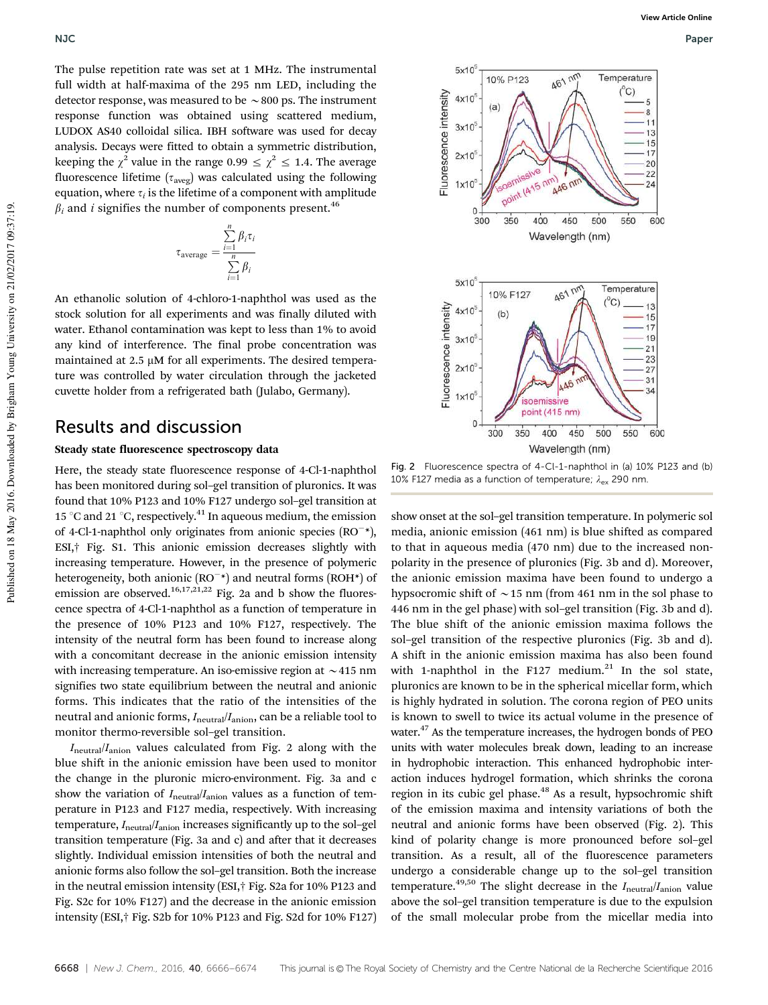The pulse repetition rate was set at 1 MHz. The instrumental full width at half-maxima of the 295 nm LED, including the detector response, was measured to be  $\sim$  800 ps. The instrument response function was obtained using scattered medium, LUDOX AS40 colloidal silica. IBH software was used for decay analysis. Decays were fitted to obtain a symmetric distribution, keeping the  $\chi^2$  value in the range 0.99  $\leq \chi^2 \leq 1.4$ . The average fluorescence lifetime ( $\tau_{\text{aveg}}$ ) was calculated using the following equation, where  $\tau_i$  is the lifetime of a component with amplitude  $\beta_i$  and *i* signifies the number of components present.<sup>46</sup>

$$
\tau_{\text{average}} = \frac{\sum_{i=1}^{n} \beta_i \tau_i}{\sum_{i=1}^{n} \beta_i}
$$

An ethanolic solution of 4-chloro-1-naphthol was used as the stock solution for all experiments and was finally diluted with water. Ethanol contamination was kept to less than 1% to avoid any kind of interference. The final probe concentration was maintained at  $2.5 \mu M$  for all experiments. The desired temperature was controlled by water circulation through the jacketed cuvette holder from a refrigerated bath (Julabo, Germany).

### Results and discussion

#### Steady state fluorescence spectroscopy data

Here, the steady state fluorescence response of 4-Cl-1-naphthol has been monitored during sol–gel transition of pluronics. It was found that 10% P123 and 10% F127 undergo sol–gel transition at 15 °C and 21 °C, respectively.<sup>41</sup> In aqueous medium, the emission of 4-Cl-1-naphthol only originates from anionic species  $(RO^{-*})$ , ESI,† Fig. S1. This anionic emission decreases slightly with increasing temperature. However, in the presence of polymeric heterogeneity, both anionic  $(RO^{-*})$  and neutral forms  $(ROH^*)$  of emission are observed.<sup>16,17,21,22</sup> Fig. 2a and b show the fluorescence spectra of 4-Cl-1-naphthol as a function of temperature in the presence of 10% P123 and 10% F127, respectively. The intensity of the neutral form has been found to increase along with a concomitant decrease in the anionic emission intensity with increasing temperature. An iso-emissive region at  $\sim$  415 nm signifies two state equilibrium between the neutral and anionic forms. This indicates that the ratio of the intensities of the neutral and anionic forms,  $I_{\text{neutral}}/I_{\text{anion}}$ , can be a reliable tool to monitor thermo-reversible sol–gel transition.

 $I<sub>neutral</sub>/I<sub>anion</sub>$  values calculated from Fig. 2 along with the blue shift in the anionic emission have been used to monitor the change in the pluronic micro-environment. Fig. 3a and c show the variation of  $I_{neutral}/I_{\text{anion}}$  values as a function of temperature in P123 and F127 media, respectively. With increasing temperature,  $I<sub>neutral</sub>/I<sub>anion</sub>$  increases significantly up to the sol-gel transition temperature (Fig. 3a and c) and after that it decreases slightly. Individual emission intensities of both the neutral and anionic forms also follow the sol–gel transition. Both the increase in the neutral emission intensity (ESI,† Fig. S2a for 10% P123 and Fig. S2c for 10% F127) and the decrease in the anionic emission intensity (ESI,† Fig. S2b for 10% P123 and Fig. S2d for 10% F127)



Fig. 2 Fluorescence spectra of 4-Cl-1-naphthol in (a) 10% P123 and (b) 10% F127 media as a function of temperature;  $\lambda_{\text{ex}}$  290 nm.

show onset at the sol–gel transition temperature. In polymeric sol media, anionic emission (461 nm) is blue shifted as compared to that in aqueous media (470 nm) due to the increased nonpolarity in the presence of pluronics (Fig. 3b and d). Moreover, the anionic emission maxima have been found to undergo a hypsocromic shift of  $\sim$  15 nm (from 461 nm in the sol phase to 446 nm in the gel phase) with sol–gel transition (Fig. 3b and d). The blue shift of the anionic emission maxima follows the sol–gel transition of the respective pluronics (Fig. 3b and d). A shift in the anionic emission maxima has also been found with 1-naphthol in the F127 medium. $21$  In the sol state, pluronics are known to be in the spherical micellar form, which is highly hydrated in solution. The corona region of PEO units is known to swell to twice its actual volume in the presence of water.<sup>47</sup> As the temperature increases, the hydrogen bonds of PEO units with water molecules break down, leading to an increase in hydrophobic interaction. This enhanced hydrophobic interaction induces hydrogel formation, which shrinks the corona region in its cubic gel phase.<sup>48</sup> As a result, hypsochromic shift of the emission maxima and intensity variations of both the neutral and anionic forms have been observed (Fig. 2). This kind of polarity change is more pronounced before sol–gel transition. As a result, all of the fluorescence parameters undergo a considerable change up to the sol–gel transition temperature.<sup>49,50</sup> The slight decrease in the  $I_{neutral}/I_{\text{anion}}$  value above the sol–gel transition temperature is due to the expulsion of the small molecular probe from the micellar media into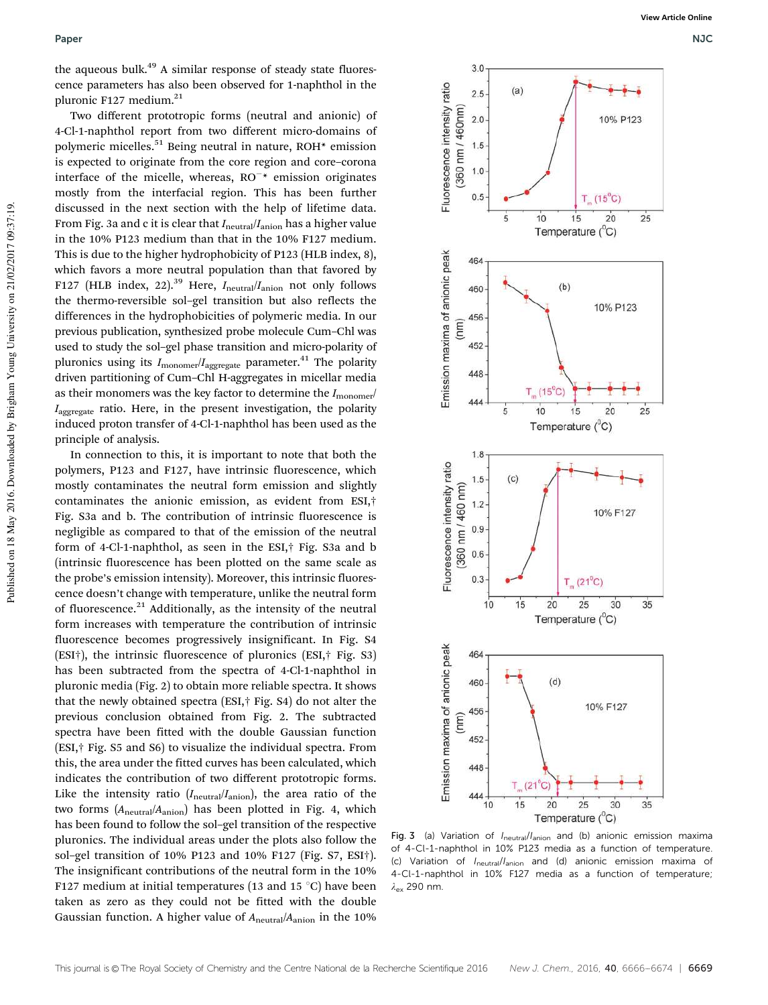the aqueous bulk.<sup>49</sup> A similar response of steady state fluorescence parameters has also been observed for 1-naphthol in the pluronic F127 medium.<sup>21</sup>

Two different prototropic forms (neutral and anionic) of 4-Cl-1-naphthol report from two different micro-domains of polymeric micelles.<sup>51</sup> Being neutral in nature, ROH\* emission is expected to originate from the core region and core–corona interface of the micelle, whereas,  $RO^{-*}$  emission originates mostly from the interfacial region. This has been further discussed in the next section with the help of lifetime data. From Fig. 3a and c it is clear that  $I_{\text{neutral}}/I_{\text{anion}}$  has a higher value in the 10% P123 medium than that in the 10% F127 medium. This is due to the higher hydrophobicity of P123 (HLB index, 8), which favors a more neutral population than that favored by F127 (HLB index, 22).<sup>39</sup> Here,  $I_{neutral}/I_{\text{anion}}$  not only follows the thermo-reversible sol–gel transition but also reflects the differences in the hydrophobicities of polymeric media. In our previous publication, synthesized probe molecule Cum–Chl was used to study the sol–gel phase transition and micro-polarity of pluronics using its  $I_{\text{monomer}}/I_{\text{aggregate}}$  parameter.<sup>41</sup> The polarity driven partitioning of Cum–Chl H-aggregates in micellar media as their monomers was the key factor to determine the  $I_{\rm monomer}$ /  $I_{\text{a}$ <sub>aggregate</sub> ratio. Here, in the present investigation, the polarity induced proton transfer of 4-Cl-1-naphthol has been used as the principle of analysis.

In connection to this, it is important to note that both the polymers, P123 and F127, have intrinsic fluorescence, which mostly contaminates the neutral form emission and slightly contaminates the anionic emission, as evident from ESI,† Fig. S3a and b. The contribution of intrinsic fluorescence is negligible as compared to that of the emission of the neutral form of 4-Cl-1-naphthol, as seen in the ESI,† Fig. S3a and b (intrinsic fluorescence has been plotted on the same scale as the probe's emission intensity). Moreover, this intrinsic fluorescence doesn't change with temperature, unlike the neutral form of fluorescence.<sup>21</sup> Additionally, as the intensity of the neutral form increases with temperature the contribution of intrinsic fluorescence becomes progressively insignificant. In Fig. S4 (ESI†), the intrinsic fluorescence of pluronics (ESI,† Fig. S3) has been subtracted from the spectra of 4-Cl-1-naphthol in pluronic media (Fig. 2) to obtain more reliable spectra. It shows that the newly obtained spectra (ESI,† Fig. S4) do not alter the previous conclusion obtained from Fig. 2. The subtracted spectra have been fitted with the double Gaussian function (ESI,† Fig. S5 and S6) to visualize the individual spectra. From this, the area under the fitted curves has been calculated, which indicates the contribution of two different prototropic forms. Like the intensity ratio  $(I_{neutral}/I_{\rm anion})$ , the area ratio of the two forms (Aneutral/Aanion) has been plotted in Fig. 4, which has been found to follow the sol–gel transition of the respective pluronics. The individual areas under the plots also follow the sol–gel transition of 10% P123 and 10% F127 (Fig. S7, ESI†). The insignificant contributions of the neutral form in the 10% F127 medium at initial temperatures (13 and 15  $^{\circ}$ C) have been taken as zero as they could not be fitted with the double Gaussian function. A higher value of  $A_{neutral}/A_{anion}$  in the 10%



Fig. 3 (a) Variation of  $I<sub>neutral</sub>/I<sub>anion</sub>$  and (b) anionic emission maxima of 4-Cl-1-naphthol in 10% P123 media as a function of temperature. (c) Variation of Ineutral/Ianion and (d) anionic emission maxima of 4-Cl-1-naphthol in 10% F127 media as a function of temperature;  $\lambda$ <sub>ex</sub> 290 nm.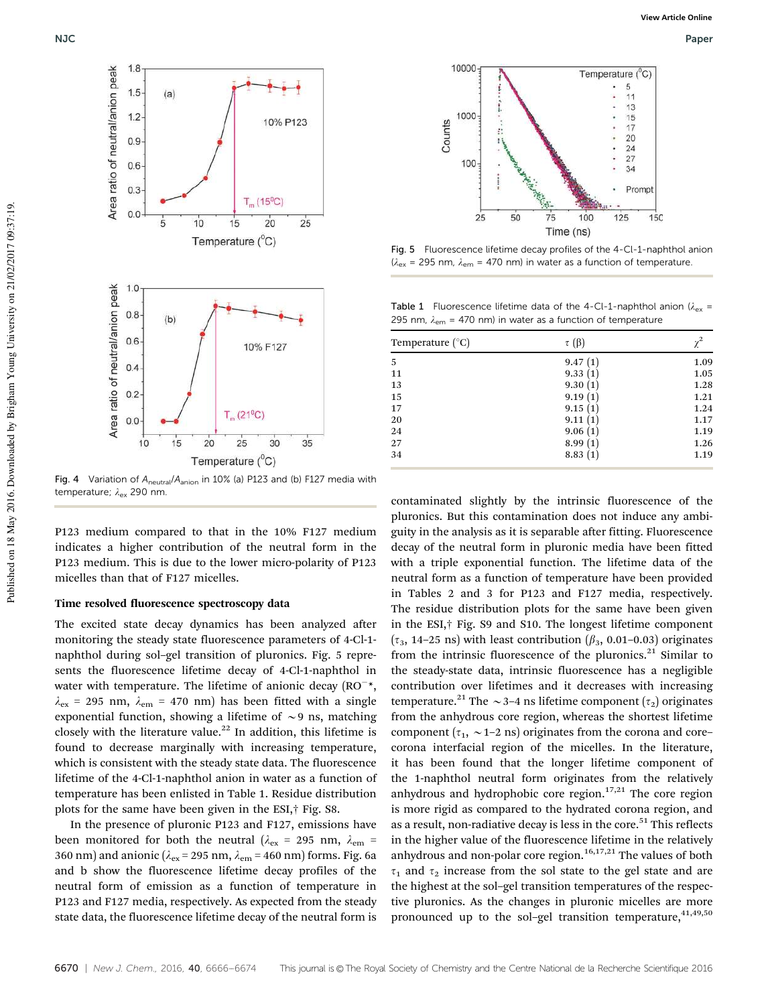

Fig. 4 Variation of  $A_{neutral}/A_{anion}$  in 10% (a) P123 and (b) F127 media with temperature;  $\lambda_{\rm ex}$  290 nm.

P123 medium compared to that in the 10% F127 medium indicates a higher contribution of the neutral form in the P123 medium. This is due to the lower micro-polarity of P123 micelles than that of F127 micelles.

#### Time resolved fluorescence spectroscopy data

The excited state decay dynamics has been analyzed after monitoring the steady state fluorescence parameters of 4-Cl-1 naphthol during sol–gel transition of pluronics. Fig. 5 represents the fluorescence lifetime decay of 4-Cl-1-naphthol in water with temperature. The lifetime of anionic decay  $(RO^{-*},$  $\lambda_{\rm ex}$  = 295 nm,  $\lambda_{\rm em}$  = 470 nm) has been fitted with a single exponential function, showing a lifetime of  $\sim$ 9 ns, matching closely with the literature value.<sup>22</sup> In addition, this lifetime is found to decrease marginally with increasing temperature, which is consistent with the steady state data. The fluorescence lifetime of the 4-Cl-1-naphthol anion in water as a function of temperature has been enlisted in Table 1. Residue distribution plots for the same have been given in the ESI,† Fig. S8.

In the presence of pluronic P123 and F127, emissions have been monitored for both the neutral ( $\lambda_{\rm ex}$  = 295 nm,  $\lambda_{\rm em}$  = 360 nm) and anionic ( $\lambda_{ex}$  = 295 nm,  $\lambda_{em}$  = 460 nm) forms. Fig. 6a and b show the fluorescence lifetime decay profiles of the neutral form of emission as a function of temperature in P123 and F127 media, respectively. As expected from the steady state data, the fluorescence lifetime decay of the neutral form is



NJC Paper



Fig. 5 Fluorescence lifetime decay profiles of the 4-Cl-1-naphthol anion ( $\lambda_{\text{ex}}$  = 295 nm,  $\lambda_{\text{em}}$  = 470 nm) in water as a function of temperature.

**Table 1** Fluorescence lifetime data of the 4-Cl-1-naphthol anion ( $\lambda_{ex}$  = 295 nm,  $\lambda_{em}$  = 470 nm) in water as a function of temperature

| $\tau(\beta)$ |      |
|---------------|------|
| 9.47(1)       | 1.09 |
| 9.33          | 1.05 |
| 9.30(1)       | 1.28 |
| 9.19          | 1.21 |
| 9.15          | 1.24 |
| 9.11          | 1.17 |
| 9.06(1)       | 1.19 |
| 8.99<br>(1)   | 1.26 |
| 8.83          | 1.19 |
|               |      |

contaminated slightly by the intrinsic fluorescence of the pluronics. But this contamination does not induce any ambiguity in the analysis as it is separable after fitting. Fluorescence decay of the neutral form in pluronic media have been fitted with a triple exponential function. The lifetime data of the neutral form as a function of temperature have been provided in Tables 2 and 3 for P123 and F127 media, respectively. The residue distribution plots for the same have been given in the ESI,† Fig. S9 and S10. The longest lifetime component  $(\tau_3, 14-25 \text{ ns})$  with least contribution  $(\beta_3, 0.01-0.03)$  originates from the intrinsic fluorescence of the pluronics. $21$  Similar to the steady-state data, intrinsic fluorescence has a negligible contribution over lifetimes and it decreases with increasing temperature.<sup>21</sup> The  $\sim$  3–4 ns lifetime component ( $\tau_2$ ) originates from the anhydrous core region, whereas the shortest lifetime component ( $\tau_1$ ,  $\sim$  1–2 ns) originates from the corona and core– corona interfacial region of the micelles. In the literature, it has been found that the longer lifetime component of the 1-naphthol neutral form originates from the relatively anhydrous and hydrophobic core region. $17,21$  The core region is more rigid as compared to the hydrated corona region, and as a result, non-radiative decay is less in the core.<sup>51</sup> This reflects in the higher value of the fluorescence lifetime in the relatively anhydrous and non-polar core region.<sup>16,17,21</sup> The values of both  $\tau_1$  and  $\tau_2$  increase from the sol state to the gel state and are the highest at the sol–gel transition temperatures of the respective pluronics. As the changes in pluronic micelles are more pronounced up to the sol-gel transition temperature,  $41,49,50$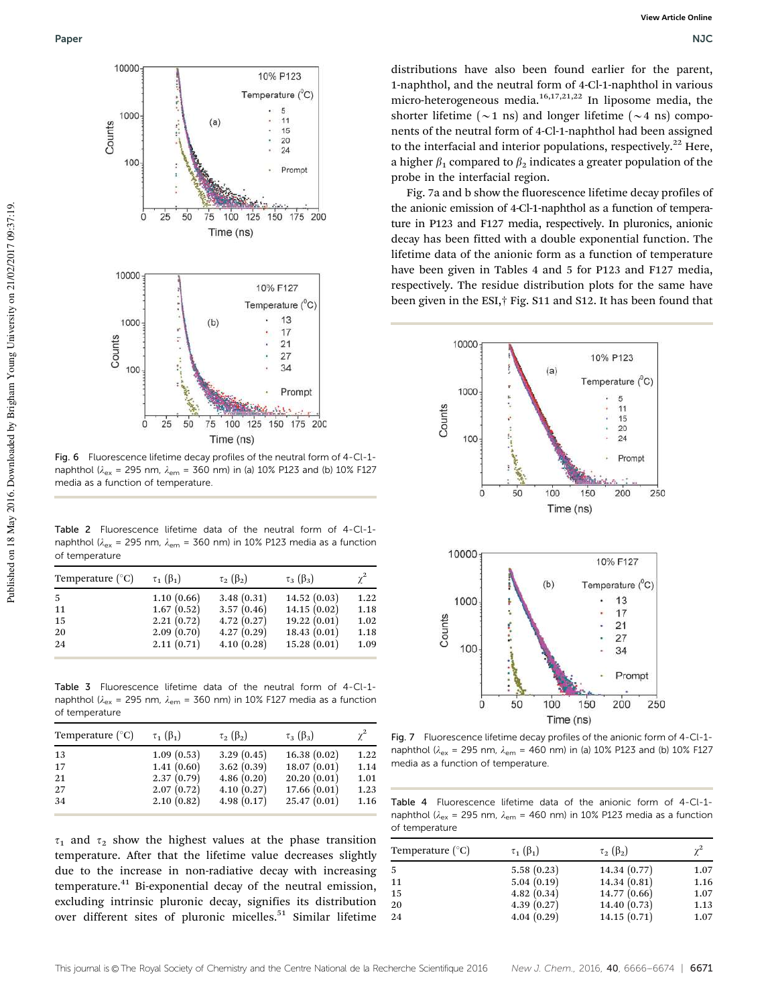

Fig. 6 Fluorescence lifetime decay profiles of the neutral form of 4-Cl-1 naphthol ( $\lambda_{\rm ex}$  = 295 nm,  $\lambda_{\rm em}$  = 360 nm) in (a) 10% P123 and (b) 10% F127 media as a function of temperature.

Table 2 Fluorescence lifetime data of the neutral form of 4-Cl-1 naphthol ( $\lambda_{\text{ex}}$  = 295 nm,  $\lambda_{\text{em}}$  = 360 nm) in 10% P123 media as a function of temperature

| Temperature $(^{\circ}C)$ | $\tau_1(\beta_1)$ | $\tau_2$ ( $\beta_2$ ) | $\tau_3$ ( $\beta_3$ ) | $\gamma^2$ |
|---------------------------|-------------------|------------------------|------------------------|------------|
| -5                        | 1.10(0.66)        | 3.48(0.31)             | 14.52(0.03)            | 1.22       |
| 11                        | 1.67(0.52)        | 3.57(0.46)             | 14.15(0.02)            | 1.18       |
| 15                        | 2.21(0.72)        | 4.72(0.27)             | 19.22(0.01)            | 1.02       |
| 20                        | 2.09(0.70)        | 4.27(0.29)             | 18.43(0.01)            | 1.18       |
| 24                        | 2.11(0.71)        | 4.10(0.28)             | 15.28(0.01)            | 1.09       |

Table 3 Fluorescence lifetime data of the neutral form of 4-Cl-1 naphthol ( $\lambda_{\text{ex}}$  = 295 nm,  $\lambda_{\text{em}}$  = 360 nm) in 10% F127 media as a function of temperature

| $\gamma^2$                 | $\tau_2$ ( $\beta_2$ )<br>$\tau_3$ ( $\beta_3$ ) | $\tau_1(\beta_1)$        | Temperature $(^{\circ}C)$ |
|----------------------------|--------------------------------------------------|--------------------------|---------------------------|
| 16.38(0.02)<br>1.22        | 3.29(0.45)                                       | 1.09(0.53)               | 13                        |
| 1.14                       |                                                  |                          | 17                        |
| 20.20(0.01)<br>1.01        | 4.86(0.20)                                       | 2.37(0.79)               | 21                        |
| 1.23                       |                                                  |                          | 27                        |
| 25.47(0.01)<br>1.16        | 4.98(0.17)                                       | 2.10(0.82)               | 34                        |
| 18.07(0.01)<br>17.66(0.01) | 3.62(0.39)<br>4.10(0.27)                         | 1.41(0.60)<br>2.07(0.72) |                           |

 $\tau_1$  and  $\tau_2$  show the highest values at the phase transition temperature. After that the lifetime value decreases slightly due to the increase in non-radiative decay with increasing temperature.<sup>41</sup> Bi-exponential decay of the neutral emission, excluding intrinsic pluronic decay, signifies its distribution over different sites of pluronic micelles.<sup>51</sup> Similar lifetime

distributions have also been found earlier for the parent, 1-naphthol, and the neutral form of 4-Cl-1-naphthol in various micro-heterogeneous media.16,17,21,22 In liposome media, the shorter lifetime ( $\sim$ 1 ns) and longer lifetime ( $\sim$ 4 ns) components of the neutral form of 4-Cl-1-naphthol had been assigned to the interfacial and interior populations, respectively.<sup>22</sup> Here, a higher  $\beta_1$  compared to  $\beta_2$  indicates a greater population of the probe in the interfacial region.

Fig. 7a and b show the fluorescence lifetime decay profiles of the anionic emission of 4-Cl-1-naphthol as a function of temperature in P123 and F127 media, respectively. In pluronics, anionic decay has been fitted with a double exponential function. The lifetime data of the anionic form as a function of temperature have been given in Tables 4 and 5 for P123 and F127 media, respectively. The residue distribution plots for the same have been given in the ESI,† Fig. S11 and S12. It has been found that



Fig. 7 Fluorescence lifetime decay profiles of the anionic form of 4-Cl-1 naphthol ( $\lambda_{ex}$  = 295 nm,  $\lambda_{em}$  = 460 nm) in (a) 10% P123 and (b) 10% F127 media as a function of temperature.

Table 4 Fluorescence lifetime data of the anionic form of 4-Cl-1 naphthol ( $\lambda_{\text{ex}}$  = 295 nm,  $\lambda_{\text{em}}$  = 460 nm) in 10% P123 media as a function of temperature

| Temperature $(^{\circ}C)$ | $\tau_1(\beta_1)$ | $\tau_2$ ( $\beta_2$ ) |      |
|---------------------------|-------------------|------------------------|------|
| -5                        | 5.58(0.23)        | 14.34(0.77)            | 1.07 |
| 11                        | 5.04(0.19)        | 14.34(0.81)            | 1.16 |
| 15                        | 4.82(0.34)        | 14.77(0.66)            | 1.07 |
| 20                        | 4.39(0.27)        | 14.40(0.73)            | 1.13 |
| 24                        | 4.04(0.29)        | 14.15(0.71)            | 1.07 |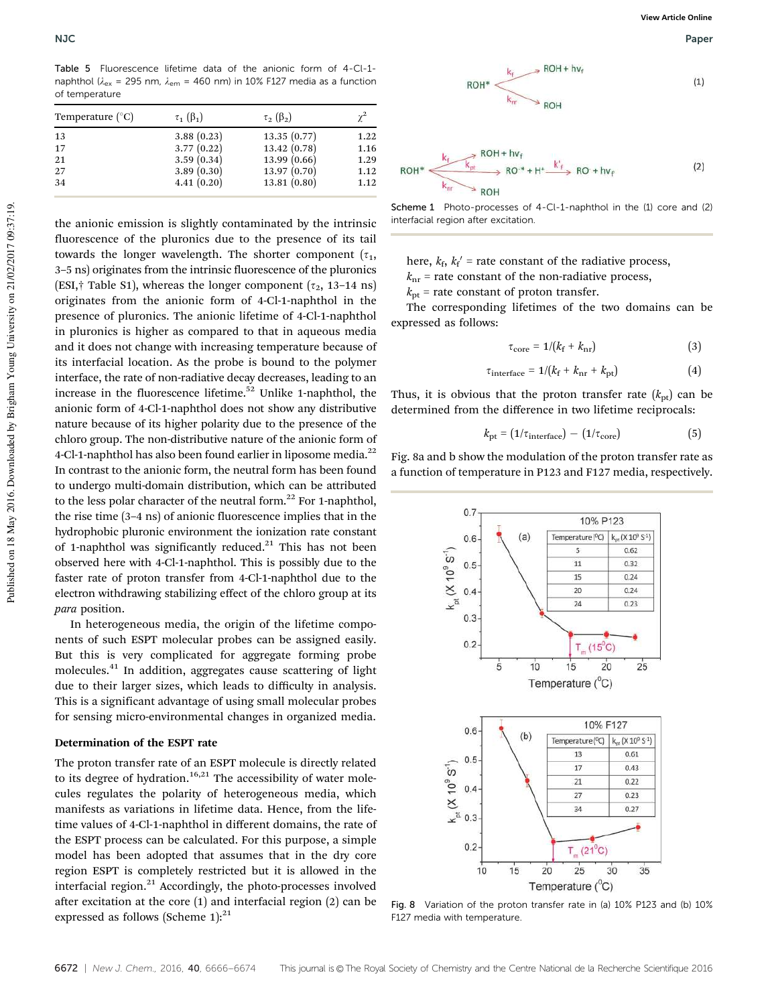Table 5 Fluorescence lifetime data of the anionic form of 4-Cl-1 naphthol ( $\lambda_{\text{ex}}$  = 295 nm,  $\lambda_{\text{em}}$  = 460 nm) in 10% F127 media as a function of temperature

| Temperature $(^{\circ}C)$ | $\tau_1(\beta_1)$ | $\tau_2$ ( $\beta_2$ ) |      |
|---------------------------|-------------------|------------------------|------|
| 13                        | 3.88(0.23)        | 13.35(0.77)            | 1.22 |
| 17                        | 3.77(0.22)        | 13.42(0.78)            | 1.16 |
| 21                        | 3.59(0.34)        | 13.99(0.66)            | 1.29 |
| 27                        | 3.89(0.30)        | 13.97(0.70)            | 1.12 |
| 34                        | 4.41(0.20)        | 13.81(0.80)            | 1.12 |
|                           |                   |                        |      |

the anionic emission is slightly contaminated by the intrinsic fluorescence of the pluronics due to the presence of its tail towards the longer wavelength. The shorter component  $(\tau_1, \tau_2)$ 3–5 ns) originates from the intrinsic fluorescence of the pluronics (ESI,† Table S1), whereas the longer component ( $\tau_2$ , 13–14 ns) originates from the anionic form of 4-Cl-1-naphthol in the presence of pluronics. The anionic lifetime of 4-Cl-1-naphthol in pluronics is higher as compared to that in aqueous media and it does not change with increasing temperature because of its interfacial location. As the probe is bound to the polymer interface, the rate of non-radiative decay decreases, leading to an increase in the fluorescence lifetime.<sup>52</sup> Unlike 1-naphthol, the anionic form of 4-Cl-1-naphthol does not show any distributive nature because of its higher polarity due to the presence of the chloro group. The non-distributive nature of the anionic form of 4-Cl-1-naphthol has also been found earlier in liposome media.<sup>22</sup> In contrast to the anionic form, the neutral form has been found to undergo multi-domain distribution, which can be attributed to the less polar character of the neutral form. $^{22}$  For 1-naphthol, the rise time (3–4 ns) of anionic fluorescence implies that in the hydrophobic pluronic environment the ionization rate constant of 1-naphthol was significantly reduced. $21$  This has not been observed here with 4-Cl-1-naphthol. This is possibly due to the faster rate of proton transfer from 4-Cl-1-naphthol due to the electron withdrawing stabilizing effect of the chloro group at its para position.

In heterogeneous media, the origin of the lifetime components of such ESPT molecular probes can be assigned easily. But this is very complicated for aggregate forming probe molecules.<sup>41</sup> In addition, aggregates cause scattering of light due to their larger sizes, which leads to difficulty in analysis. This is a significant advantage of using small molecular probes for sensing micro-environmental changes in organized media.

#### Determination of the ESPT rate

The proton transfer rate of an ESPT molecule is directly related to its degree of hydration.<sup>16,21</sup> The accessibility of water molecules regulates the polarity of heterogeneous media, which manifests as variations in lifetime data. Hence, from the lifetime values of 4-Cl-1-naphthol in different domains, the rate of the ESPT process can be calculated. For this purpose, a simple model has been adopted that assumes that in the dry core region ESPT is completely restricted but it is allowed in the interfacial region.<sup>21</sup> Accordingly, the photo-processes involved after excitation at the core (1) and interfacial region (2) can be expressed as follows (Scheme 1): $21$ 



Scheme 1 Photo-processes of 4-Cl-1-naphthol in the (1) core and (2) interfacial region after excitation.

here,  $k_f$ ,  $k_f'$  = rate constant of the radiative process,

 $k<sub>nr</sub>$  = rate constant of the non-radiative process,

 $k<sub>pt</sub>$  = rate constant of proton transfer.

The corresponding lifetimes of the two domains can be expressed as follows:

$$
\tau_{\text{core}} = 1/(k_{\text{f}} + k_{\text{nr}}) \tag{3}
$$

$$
\tau_{\text{interface}} = 1/(k_{\text{f}} + k_{\text{nr}} + k_{\text{pt}}) \tag{4}
$$

Thus, it is obvious that the proton transfer rate  $(k_{pt})$  can be determined from the difference in two lifetime reciprocals:

$$
k_{\rm pt} = (1/\tau_{\rm interface}) - (1/\tau_{\rm core}) \tag{5}
$$

Fig. 8a and b show the modulation of the proton transfer rate as a function of temperature in P123 and F127 media, respectively.



Fig. 8 Variation of the proton transfer rate in (a) 10% P123 and (b) 10% F127 media with temperature.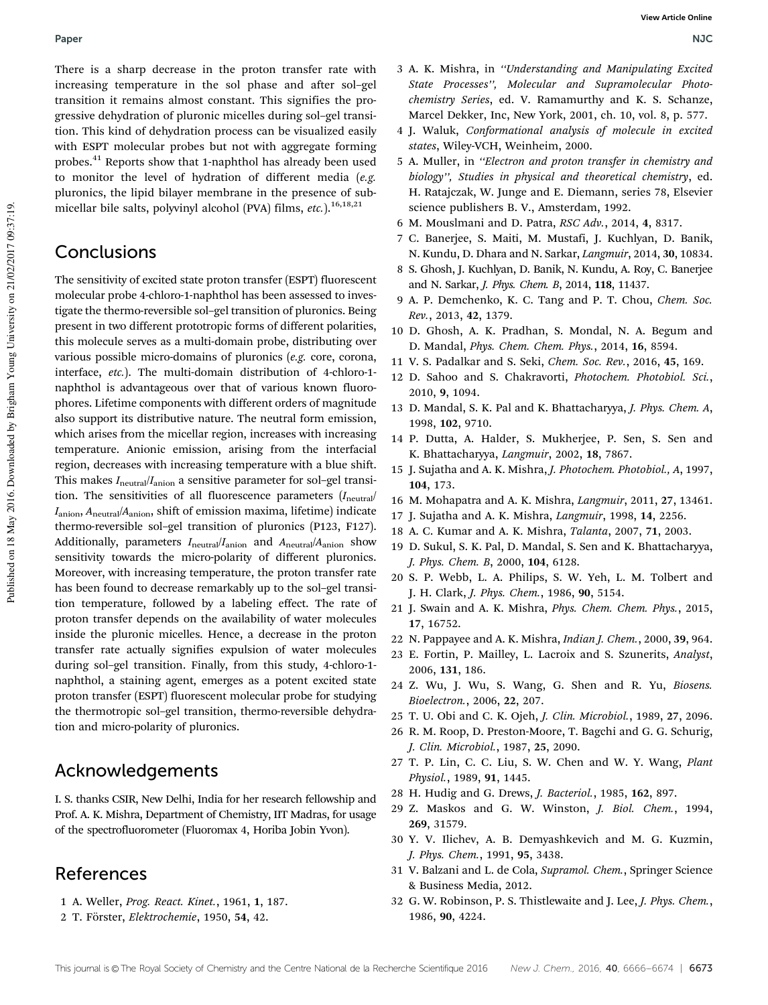There is a sharp decrease in the proton transfer rate with increasing temperature in the sol phase and after sol–gel transition it remains almost constant. This signifies the progressive dehydration of pluronic micelles during sol–gel transition. This kind of dehydration process can be visualized easily with ESPT molecular probes but not with aggregate forming probes.<sup>41</sup> Reports show that 1-naphthol has already been used to monitor the level of hydration of different media (e.g. pluronics, the lipid bilayer membrane in the presence of submicellar bile salts, polyvinyl alcohol (PVA) films, etc.).<sup>16,18,21</sup>

# Conclusions

The sensitivity of excited state proton transfer (ESPT) fluorescent molecular probe 4-chloro-1-naphthol has been assessed to investigate the thermo-reversible sol–gel transition of pluronics. Being present in two different prototropic forms of different polarities, this molecule serves as a multi-domain probe, distributing over various possible micro-domains of pluronics (e.g. core, corona, interface, etc.). The multi-domain distribution of 4-chloro-1 naphthol is advantageous over that of various known fluorophores. Lifetime components with different orders of magnitude also support its distributive nature. The neutral form emission, which arises from the micellar region, increases with increasing temperature. Anionic emission, arising from the interfacial region, decreases with increasing temperature with a blue shift. This makes  $I<sub>neutral</sub>/I<sub>anion</sub>$  a sensitive parameter for sol-gel transition. The sensitivities of all fluorescence parameters  $(I_{neutral}$  $I_{\text{anion}}$ ,  $A_{\text{neutral}}/A_{\text{anion}}$ , shift of emission maxima, lifetime) indicate thermo-reversible sol–gel transition of pluronics (P123, F127). Additionally, parameters  $I_{\text{neutral}}/I_{\text{anion}}$  and  $A_{\text{neutral}}/A_{\text{anion}}$  show sensitivity towards the micro-polarity of different pluronics. Moreover, with increasing temperature, the proton transfer rate has been found to decrease remarkably up to the sol–gel transition temperature, followed by a labeling effect. The rate of proton transfer depends on the availability of water molecules inside the pluronic micelles. Hence, a decrease in the proton transfer rate actually signifies expulsion of water molecules during sol–gel transition. Finally, from this study, 4-chloro-1 naphthol, a staining agent, emerges as a potent excited state proton transfer (ESPT) fluorescent molecular probe for studying the thermotropic sol–gel transition, thermo-reversible dehydration and micro-polarity of pluronics.

# Acknowledgements

I. S. thanks CSIR, New Delhi, India for her research fellowship and Prof. A. K. Mishra, Department of Chemistry, IIT Madras, for usage of the spectrofluorometer (Fluoromax 4, Horiba Jobin Yvon).

# References

- 1 A. Weller, Prog. React. Kinet., 1961, 1, 187.
- 2 T. Förster, Elektrochemie, 1950, 54, 42.
- 3 A. K. Mishra, in ''Understanding and Manipulating Excited State Processes'', Molecular and Supramolecular Photochemistry Series, ed. V. Ramamurthy and K. S. Schanze, Marcel Dekker, Inc, New York, 2001, ch. 10, vol. 8, p. 577.
- 4 J. Waluk, Conformational analysis of molecule in excited states, Wiley-VCH, Weinheim, 2000.
- 5 A. Muller, in ''Electron and proton transfer in chemistry and biology'', Studies in physical and theoretical chemistry, ed. H. Ratajczak, W. Junge and E. Diemann, series 78, Elsevier science publishers B. V., Amsterdam, 1992.
- 6 M. Mouslmani and D. Patra, RSC Adv., 2014, 4, 8317.
- 7 C. Banerjee, S. Maiti, M. Mustafi, J. Kuchlyan, D. Banik, N. Kundu, D. Dhara and N. Sarkar, Langmuir, 2014, 30, 10834.
- 8 S. Ghosh, J. Kuchlyan, D. Banik, N. Kundu, A. Roy, C. Banerjee and N. Sarkar, J. Phys. Chem. B, 2014, 118, 11437.
- 9 A. P. Demchenko, K. C. Tang and P. T. Chou, Chem. Soc. Rev., 2013, 42, 1379.
- 10 D. Ghosh, A. K. Pradhan, S. Mondal, N. A. Begum and D. Mandal, Phys. Chem. Chem. Phys., 2014, 16, 8594.
- 11 V. S. Padalkar and S. Seki, Chem. Soc. Rev., 2016, 45, 169.
- 12 D. Sahoo and S. Chakravorti, Photochem. Photobiol. Sci., 2010, 9, 1094.
- 13 D. Mandal, S. K. Pal and K. Bhattacharyya, J. Phys. Chem. A, 1998, 102, 9710.
- 14 P. Dutta, A. Halder, S. Mukherjee, P. Sen, S. Sen and K. Bhattacharyya, Langmuir, 2002, 18, 7867.
- 15 J. Sujatha and A. K. Mishra, J. Photochem. Photobiol., A, 1997, 104, 173.
- 16 M. Mohapatra and A. K. Mishra, Langmuir, 2011, 27, 13461.
- 17 J. Sujatha and A. K. Mishra, Langmuir, 1998, 14, 2256.
- 18 A. C. Kumar and A. K. Mishra, Talanta, 2007, 71, 2003.
- 19 D. Sukul, S. K. Pal, D. Mandal, S. Sen and K. Bhattacharyya, J. Phys. Chem. B, 2000, 104, 6128.
- 20 S. P. Webb, L. A. Philips, S. W. Yeh, L. M. Tolbert and J. H. Clark, J. Phys. Chem., 1986, 90, 5154.
- 21 J. Swain and A. K. Mishra, Phys. Chem. Chem. Phys., 2015, 17, 16752.
- 22 N. Pappayee and A. K. Mishra, Indian J. Chem., 2000, 39, 964.
- 23 E. Fortin, P. Mailley, L. Lacroix and S. Szunerits, Analyst, 2006, 131, 186.
- 24 Z. Wu, J. Wu, S. Wang, G. Shen and R. Yu, Biosens. Bioelectron., 2006, 22, 207.
- 25 T. U. Obi and C. K. Ojeh, J. Clin. Microbiol., 1989, 27, 2096.
- 26 R. M. Roop, D. Preston-Moore, T. Bagchi and G. G. Schurig, J. Clin. Microbiol., 1987, 25, 2090.
- 27 T. P. Lin, C. C. Liu, S. W. Chen and W. Y. Wang, Plant Physiol., 1989, 91, 1445.
- 28 H. Hudig and G. Drews, J. Bacteriol., 1985, 162, 897.
- 29 Z. Maskos and G. W. Winston, J. Biol. Chem., 1994, 269, 31579.
- 30 Y. V. Ilichev, A. B. Demyashkevich and M. G. Kuzmin, J. Phys. Chem., 1991, 95, 3438.
- 31 V. Balzani and L. de Cola, Supramol. Chem., Springer Science & Business Media, 2012.
- 32 G. W. Robinson, P. S. Thistlewaite and J. Lee, J. Phys. Chem., 1986, 90, 4224.